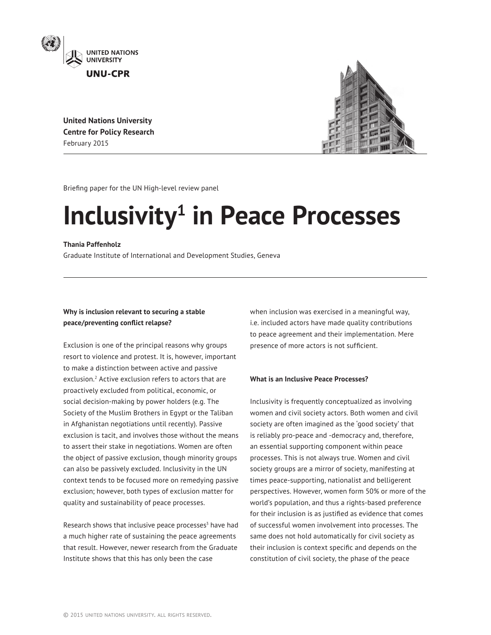

**United Nations University Centre for Policy Research** February 2015



Briefing paper for the UN High-level review panel

# **Inclusivity<sup>1</sup>** in Peace Processes

# **Thania Paffenholz**

Graduate Institute of International and Development Studies, Geneva

# **Why is inclusion relevant to securing a stable peace/preventing conflict relapse?**

Exclusion is one of the principal reasons why groups resort to violence and protest. It is, however, important to make a distinction between active and passive exclusion.2 Active exclusion refers to actors that are proactively excluded from political, economic, or social decision-making by power holders (e.g. The Society of the Muslim Brothers in Egypt or the Taliban in Afghanistan negotiations until recently). Passive exclusion is tacit, and involves those without the means to assert their stake in negotiations. Women are often the object of passive exclusion, though minority groups can also be passively excluded. Inclusivity in the UN context tends to be focused more on remedying passive exclusion; however, both types of exclusion matter for quality and sustainability of peace processes.

Research shows that inclusive peace processes<sup>3</sup> have had a much higher rate of sustaining the peace agreements that result. However, newer research from the Graduate Institute shows that this has only been the case

when inclusion was exercised in a meaningful way, i.e. included actors have made quality contributions to peace agreement and their implementation. Mere presence of more actors is not sufficient.

# **What is an Inclusive Peace Processes?**

Inclusivity is frequently conceptualized as involving women and civil society actors. Both women and civil society are often imagined as the 'good society' that is reliably pro-peace and -democracy and, therefore, an essential supporting component within peace processes. This is not always true. Women and civil society groups are a mirror of society, manifesting at times peace-supporting, nationalist and belligerent perspectives. However, women form 50% or more of the world's population, and thus a rights-based preference for their inclusion is as justified as evidence that comes of successful women involvement into processes. The same does not hold automatically for civil society as their inclusion is context specific and depends on the constitution of civil society, the phase of the peace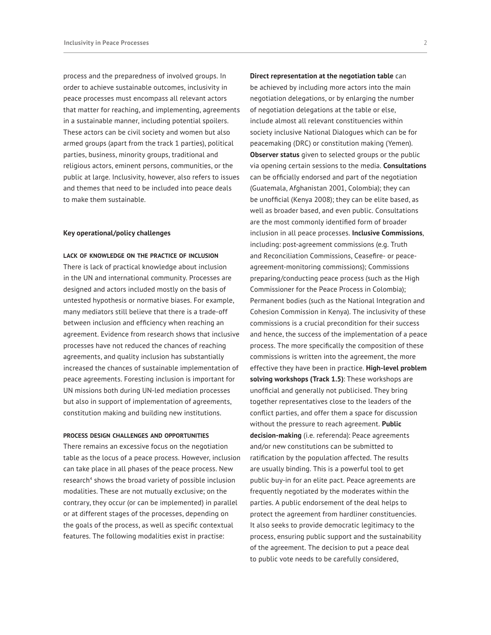process and the preparedness of involved groups. In order to achieve sustainable outcomes, inclusivity in peace processes must encompass all relevant actors that matter for reaching, and implementing, agreements in a sustainable manner, including potential spoilers. These actors can be civil society and women but also armed groups (apart from the track 1 parties), political parties, business, minority groups, traditional and religious actors, eminent persons, communities, or the public at large. Inclusivity, however, also refers to issues and themes that need to be included into peace deals to make them sustainable.

## **Key operational/policy challenges**

#### **lack of knowledge on the practice of inclusion**

There is lack of practical knowledge about inclusion in the UN and international community. Processes are designed and actors included mostly on the basis of untested hypothesis or normative biases. For example, many mediators still believe that there is a trade-off between inclusion and efficiency when reaching an agreement. Evidence from research shows that inclusive processes have not reduced the chances of reaching agreements, and quality inclusion has substantially increased the chances of sustainable implementation of peace agreements. Foresting inclusion is important for UN missions both during UN-led mediation processes but also in support of implementation of agreements, constitution making and building new institutions.

#### **process design challenges and opportunities**

There remains an excessive focus on the negotiation table as the locus of a peace process. However, inclusion can take place in all phases of the peace process. New research<sup>4</sup> shows the broad variety of possible inclusion modalities. These are not mutually exclusive; on the contrary, they occur (or can be implemented) in parallel or at different stages of the processes, depending on the goals of the process, as well as specific contextual features. The following modalities exist in practise:

**Direct representation at the negotiation table** can be achieved by including more actors into the main negotiation delegations, or by enlarging the number of negotiation delegations at the table or else, include almost all relevant constituencies within society inclusive National Dialogues which can be for peacemaking (DRC) or constitution making (Yemen). **Observer status** given to selected groups or the public via opening certain sessions to the media. **Consultations** can be officially endorsed and part of the negotiation (Guatemala, Afghanistan 2001, Colombia); they can be unofficial (Kenya 2008); they can be elite based, as well as broader based, and even public. Consultations are the most commonly identified form of broader inclusion in all peace processes. **Inclusive Commissions**, including: post-agreement commissions (e.g. Truth and Reconciliation Commissions, Ceasefire- or peaceagreement-monitoring commissions); Commissions preparing/conducting peace process (such as the High Commissioner for the Peace Process in Colombia); Permanent bodies (such as the National Integration and Cohesion Commission in Kenya). The inclusivity of these commissions is a crucial precondition for their success and hence, the success of the implementation of a peace process. The more specifically the composition of these commissions is written into the agreement, the more effective they have been in practice. **High-level problem solving workshops (Track 1.5)**: These workshops are unofficial and generally not publicised. They bring together representatives close to the leaders of the conflict parties, and offer them a space for discussion without the pressure to reach agreement. **Public decision-making** (i.e. referenda): Peace agreements and/or new constitutions can be submitted to ratification by the population affected. The results are usually binding. This is a powerful tool to get public buy-in for an elite pact. Peace agreements are frequently negotiated by the moderates within the parties. A public endorsement of the deal helps to protect the agreement from hardliner constituencies. It also seeks to provide democratic legitimacy to the process, ensuring public support and the sustainability of the agreement. The decision to put a peace deal to public vote needs to be carefully considered,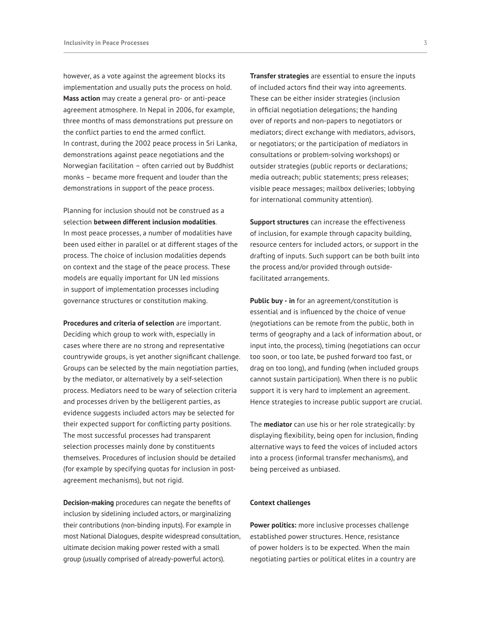however, as a vote against the agreement blocks its implementation and usually puts the process on hold. **Mass action** may create a general pro- or anti-peace agreement atmosphere. In Nepal in 2006, for example, three months of mass demonstrations put pressure on the conflict parties to end the armed conflict. In contrast, during the 2002 peace process in Sri Lanka, demonstrations against peace negotiations and the Norwegian facilitation – often carried out by Buddhist monks – became more frequent and louder than the demonstrations in support of the peace process.

Planning for inclusion should not be construed as a selection **between different inclusion modalities**. In most peace processes, a number of modalities have been used either in parallel or at different stages of the process. The choice of inclusion modalities depends on context and the stage of the peace process. These models are equally important for UN led missions in support of implementation processes including governance structures or constitution making.

**Procedures and criteria of selection** are important. Deciding which group to work with, especially in cases where there are no strong and representative countrywide groups, is yet another significant challenge. Groups can be selected by the main negotiation parties, by the mediator, or alternatively by a self-selection process. Mediators need to be wary of selection criteria and processes driven by the belligerent parties, as evidence suggests included actors may be selected for their expected support for conflicting party positions. The most successful processes had transparent selection processes mainly done by constituents themselves. Procedures of inclusion should be detailed (for example by specifying quotas for inclusion in postagreement mechanisms), but not rigid.

**Decision-making** procedures can negate the benefits of inclusion by sidelining included actors, or marginalizing their contributions (non-binding inputs). For example in most National Dialogues, despite widespread consultation, ultimate decision making power rested with a small group (usually comprised of already-powerful actors).

**Transfer strategies** are essential to ensure the inputs of included actors find their way into agreements. These can be either insider strategies (inclusion in official negotiation delegations; the handing over of reports and non-papers to negotiators or mediators; direct exchange with mediators, advisors, or negotiators; or the participation of mediators in consultations or problem-solving workshops) or outsider strategies (public reports or declarations; media outreach; public statements; press releases; visible peace messages; mailbox deliveries; lobbying for international community attention).

**Support structures** can increase the effectiveness of inclusion, for example through capacity building, resource centers for included actors, or support in the drafting of inputs. Such support can be both built into the process and/or provided through outsidefacilitated arrangements.

**Public buy - in** for an agreement/constitution is essential and is influenced by the choice of venue (negotiations can be remote from the public, both in terms of geography and a lack of information about, or input into, the process), timing (negotiations can occur too soon, or too late, be pushed forward too fast, or drag on too long), and funding (when included groups cannot sustain participation). When there is no public support it is very hard to implement an agreement. Hence strategies to increase public support are crucial.

The **mediator** can use his or her role strategically: by displaying flexibility, being open for inclusion, finding alternative ways to feed the voices of included actors into a process (informal transfer mechanisms), and being perceived as unbiased.

## **Context challenges**

**Power politics:** more inclusive processes challenge established power structures. Hence, resistance of power holders is to be expected. When the main negotiating parties or political elites in a country are